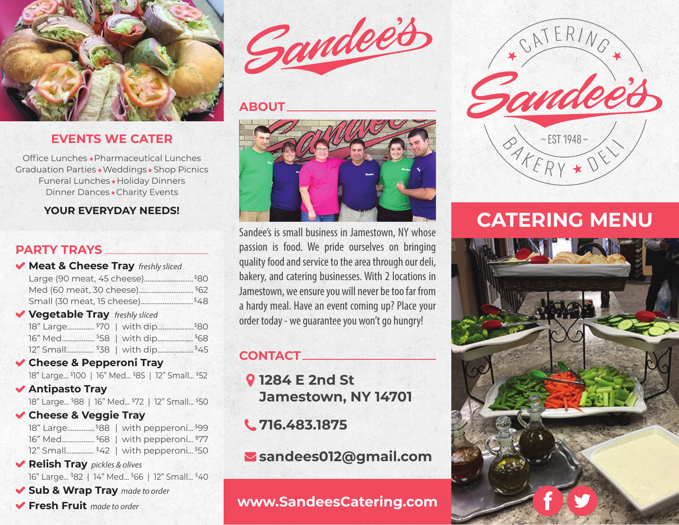

## **EVENTS WE CATER**

Office Lunches \* Pharmaceutical Lunches Graduation Parties \* Weddings \* Shop Picnics Funeral Lunches \* Holiday Dinners Dinner Dances \* Charity Events

#### **YOUR EVERYDAY NEEDS!**

## **PARTY TRAYS**

| Meat & Cheese Tray freshly sliced               |      |
|-------------------------------------------------|------|
| Large (90 meat, 45 cheese)                      | \$80 |
| Med (60 meat, 30 cheese)                        | \$62 |
| Small (30 meat, 15 cheese)                      | \$48 |
| Vegetable Tray freshly sliced                   |      |
| 18" Large \$70   with dip.                      | \$80 |
| 16" Med \$58   with dip                         | \$68 |
| 12" Small \$38   with dip                       | \$45 |
| Cheese & Pepperoni Tray                         |      |
| 18" Large \$100   16" Med \$85   12" Small \$52 |      |
| <b>◆ Antipasto Tray</b>                         |      |

18" Large... \$88 | 16" Med... \$72 | 12" Small... \$50

**Cheese & Veggie Tray**

|                                      | 18" Large\$88   with pepperoni\$99 |
|--------------------------------------|------------------------------------|
|                                      | 16" Med \$68   with pepperoni \$77 |
| 12" Small \$42   with pepperoni \$50 |                                    |

- **Relish Tray** *pickles & olives* 16" Large... \$82 | 14" Med... \$66 | 12" Small... \$40
- **Sub & Wrap Tray** *made to order*
- **Fresh Fruit** *made to order*



#### **ABOUT**



Sandee's is small business in Jamestown, NY whose passion is food. We pride ourselves on bringing quality food and service to the area through our deli, bakery, and catering businesses. With 2 locations in Jamestown, we ensure you will never be too far from a hardy meal. Have an event coming up? Place your order today - we guarantee you won't go hungry!

## **CONTACT**

**1284 E 2nd St Jamestown, NY 14701**

**716.483.1875**

**sandees012@gmail.com**

## **www.SandeesCatering.com**



# **CATERING MENU**